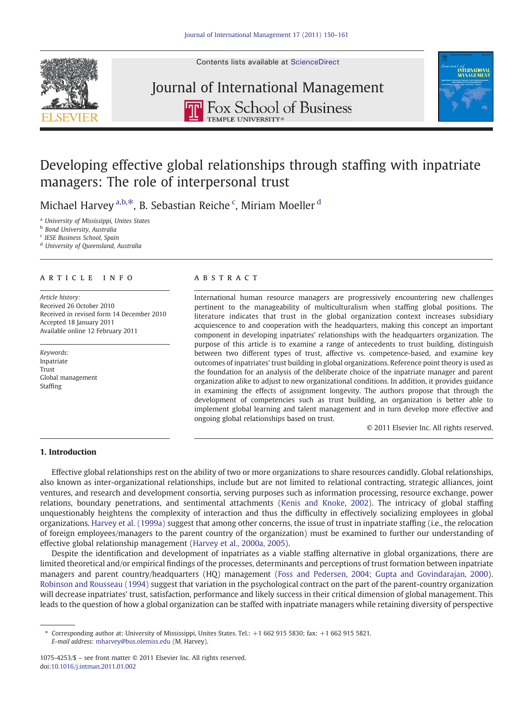



# Journal of International Management**THE ROX School of Business**



### Developing effective global relationships through staffing with inpatriate managers: The role of interpersonal trust

Michael Harvey  $a,b,*$ , B. Sebastian Reiche  $c$ , Miriam Moeller  $d$ 

<sup>a</sup> University of Mississippi, Unites States

**b** Bond University, Australia

<sup>c</sup> IESE Business School, Spain

<sup>d</sup> University of Queensland, Australia

### article info abstract

Article history: Received 26 October 2010 Received in revised form 14 December 2010 Accepted 18 January 2011 Available online 12 February 2011

Keywords: Inpatriate Trust Global management Staffing

International human resource managers are progressively encountering new challenges pertinent to the manageability of multiculturalism when staffing global positions. The literature indicates that trust in the global organization context increases subsidiary acquiescence to and cooperation with the headquarters, making this concept an important component in developing inpatriates' relationships with the headquarters organization. The purpose of this article is to examine a range of antecedents to trust building, distinguish between two different types of trust, affective vs. competence-based, and examine key outcomes of inpatriates' trust building in global organizations. Reference point theory is used as the foundation for an analysis of the deliberate choice of the inpatriate manager and parent organization alike to adjust to new organizational conditions. In addition, it provides guidance in examining the effects of assignment longevity. The authors propose that through the development of competencies such as trust building, an organization is better able to implement global learning and talent management and in turn develop more effective and ongoing global relationships based on trust.

© 2011 Elsevier Inc. All rights reserved.

#### 1. Introduction

Effective global relationships rest on the ability of two or more organizations to share resources candidly. Global relationships, also known as inter-organizational relationships, include but are not limited to relational contracting, strategic alliances, joint ventures, and research and development consortia, serving purposes such as information processing, resource exchange, power relations, boundary penetrations, and sentimental attachments [\(Kenis and Knoke, 2002](#page--1-0)). The intricacy of global staffing unquestionably heightens the complexity of interaction and thus the difficulty in effectively socializing employees in global organizations. [Harvey et al. \(1999a\)](#page--1-0) suggest that among other concerns, the issue of trust in inpatriate staffing (i.e., the relocation of foreign employees/managers to the parent country of the organization) must be examined to further our understanding of effective global relationship management [\(Harvey et al., 2000a, 2005](#page--1-0)).

Despite the identification and development of inpatriates as a viable staffing alternative in global organizations, there are limited theoretical and/or empirical findings of the processes, determinants and perceptions of trust formation between inpatriate managers and parent country/headquarters (HQ) management [\(Foss and Pedersen, 2004; Gupta and Govindarajan, 2000](#page--1-0)). [Robinson and Rousseau \(1994\)](#page--1-0) suggest that variation in the psychological contract on the part of the parent-country organization will decrease inpatriates' trust, satisfaction, performance and likely success in their critical dimension of global management. This leads to the question of how a global organization can be staffed with inpatriate managers while retaining diversity of perspective

Corresponding author at: University of Mississippi, Unites States. Tel.: +1 662 915 5830; fax: +1 662 915 5821. E-mail address: [mharvey@bus.olemiss.edu](mailto:mharvey@bus.olemiss.edu) (M. Harvey).

<sup>1075-4253/\$</sup> – see front matter © 2011 Elsevier Inc. All rights reserved. doi:[10.1016/j.intman.2011.01.002](http://dx.doi.org/10.1016/j.intman.2011.01.002)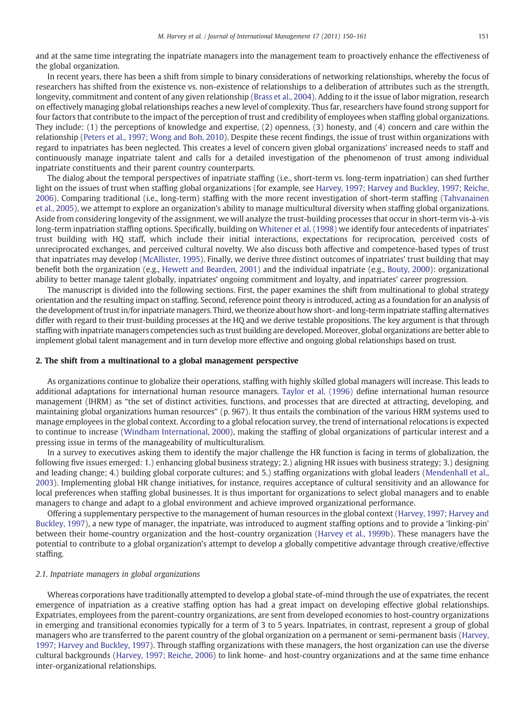and at the same time integrating the inpatriate managers into the management team to proactively enhance the effectiveness of the global organization.

In recent years, there has been a shift from simple to binary considerations of networking relationships, whereby the focus of researchers has shifted from the existence vs. non-existence of relationships to a deliberation of attributes such as the strength, longevity, commitment and content of any given relationship [\(Brass et al., 2004](#page--1-0)). Adding to it the issue of labor migration, research on effectively managing global relationships reaches a new level of complexity. Thus far, researchers have found strong support for four factors that contribute to the impact of the perception of trust and credibility of employees when staffing global organizations. They include: (1) the perceptions of knowledge and expertise, (2) openness, (3) honesty, and (4) concern and care within the relationship ([Peters et al., 1997; Wong and Boh, 2010](#page--1-0)). Despite these recent findings, the issue of trust within organizations with regard to inpatriates has been neglected. This creates a level of concern given global organizations' increased needs to staff and continuously manage inpatriate talent and calls for a detailed investigation of the phenomenon of trust among individual inpatriate constituents and their parent country counterparts.

The dialog about the temporal perspectives of inpatriate staffing (i.e., short-term vs. long-term inpatriation) can shed further light on the issues of trust when staffing global organizations (for example, see [Harvey, 1997; Harvey and Buckley, 1997; Reiche,](#page--1-0) [2006](#page--1-0)). Comparing traditional (i.e., long-term) staffing with the more recent investigation of short-term staffing ([Tahvanainen](#page--1-0) [et al., 2005\)](#page--1-0), we attempt to explore an organization's ability to manage multicultural diversity when staffing global organizations. Aside from considering longevity of the assignment, we will analyze the trust-building processes that occur in short-term vis-à-vis long-term inpatriation staffing options. Specifically, building on [Whitener et al. \(1998\)](#page--1-0) we identify four antecedents of inpatriates' trust building with HQ staff, which include their initial interactions, expectations for reciprocation, perceived costs of unreciprocated exchanges, and perceived cultural novelty. We also discuss both affective and competence-based types of trust that inpatriates may develop ([McAllister, 1995\)](#page--1-0). Finally, we derive three distinct outcomes of inpatriates' trust building that may benefit both the organization (e.g., [Hewett and Bearden, 2001\)](#page--1-0) and the individual inpatriate (e.g., [Bouty, 2000](#page--1-0)): organizational ability to better manage talent globally, inpatriates' ongoing commitment and loyalty, and inpatriates' career progression.

The manuscript is divided into the following sections. First, the paper examines the shift from multinational to global strategy orientation and the resulting impact on staffing. Second, reference point theory is introduced, acting as a foundation for an analysis of the development of trust in/for inpatriate managers. Third, we theorize about how short- and long-term inpatriate staffing alternatives differ with regard to their trust-building processes at the HQ and we derive testable propositions. The key argument is that through staffing with inpatriate managers competencies such as trust building are developed. Moreover, global organizations are better able to implement global talent management and in turn develop more effective and ongoing global relationships based on trust.

#### 2. The shift from a multinational to a global management perspective

As organizations continue to globalize their operations, staffing with highly skilled global managers will increase. This leads to additional adaptations for international human resource managers. [Taylor et al. \(1996\)](#page--1-0) define international human resource management (IHRM) as "the set of distinct activities, functions, and processes that are directed at attracting, developing, and maintaining global organizations human resources" (p. 967). It thus entails the combination of the various HRM systems used to manage employees in the global context. According to a global relocation survey, the trend of international relocations is expected to continue to increase ([Windham International, 2000](#page--1-0)), making the staffing of global organizations of particular interest and a pressing issue in terms of the manageability of multiculturalism.

In a survey to executives asking them to identify the major challenge the HR function is facing in terms of globalization, the following five issues emerged: 1.) enhancing global business strategy; 2.) aligning HR issues with business strategy; 3.) designing and leading change; 4.) building global corporate cultures; and 5.) staffing organizations with global leaders ([Mendenhall et al.,](#page--1-0) [2003](#page--1-0)). Implementing global HR change initiatives, for instance, requires acceptance of cultural sensitivity and an allowance for local preferences when staffing global businesses. It is thus important for organizations to select global managers and to enable managers to change and adapt to a global environment and achieve improved organizational performance.

Offering a supplementary perspective to the management of human resources in the global context ([Harvey, 1997; Harvey and](#page--1-0) [Buckley, 1997](#page--1-0)), a new type of manager, the inpatriate, was introduced to augment staffing options and to provide a 'linking-pin' between their home-country organization and the host-country organization [\(Harvey et al., 1999b](#page--1-0)). These managers have the potential to contribute to a global organization's attempt to develop a globally competitive advantage through creative/effective staffing.

#### 2.1. Inpatriate managers in global organizations

Whereas corporations have traditionally attempted to develop a global state-of-mind through the use of expatriates, the recent emergence of inpatriation as a creative staffing option has had a great impact on developing effective global relationships. Expatriates, employees from the parent-country organizations, are sent from developed economies to host-country organizations in emerging and transitional economies typically for a term of 3 to 5 years. Inpatriates, in contrast, represent a group of global managers who are transferred to the parent country of the global organization on a permanent or semi-permanent basis [\(Harvey,](#page--1-0) [1997; Harvey and Buckley, 1997](#page--1-0)). Through staffing organizations with these managers, the host organization can use the diverse cultural backgrounds [\(Harvey, 1997; Reiche, 2006\)](#page--1-0) to link home- and host-country organizations and at the same time enhance inter-organizational relationships.